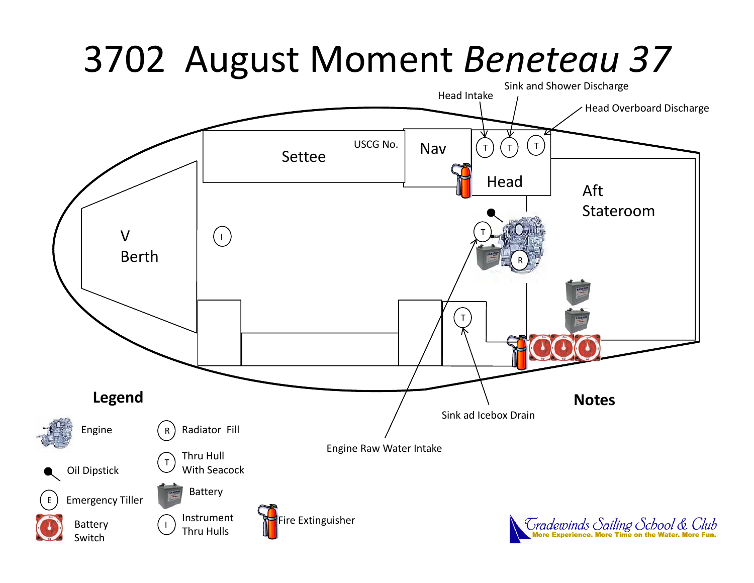## 3702 August Moment *Beneteau 37*

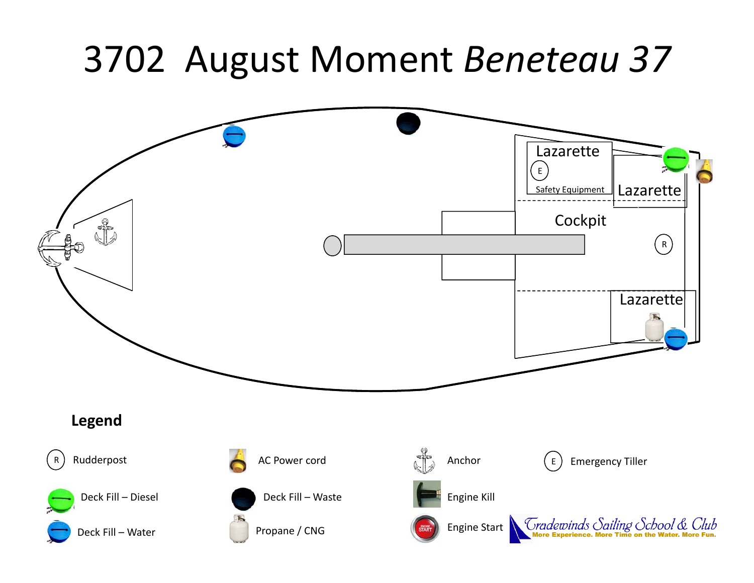### 3702 August Moment *Beneteau 3 7*

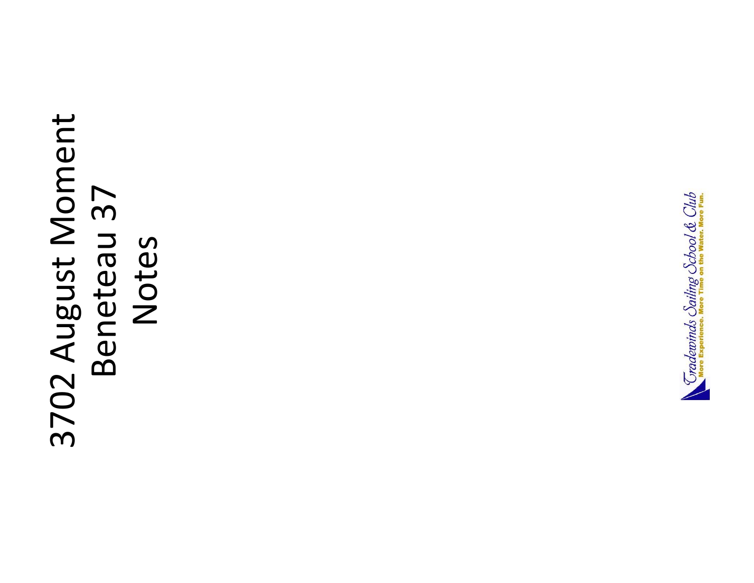# 3702 August Moment 3702 August Moment Beneteau 37 Beneteau 37 Notes

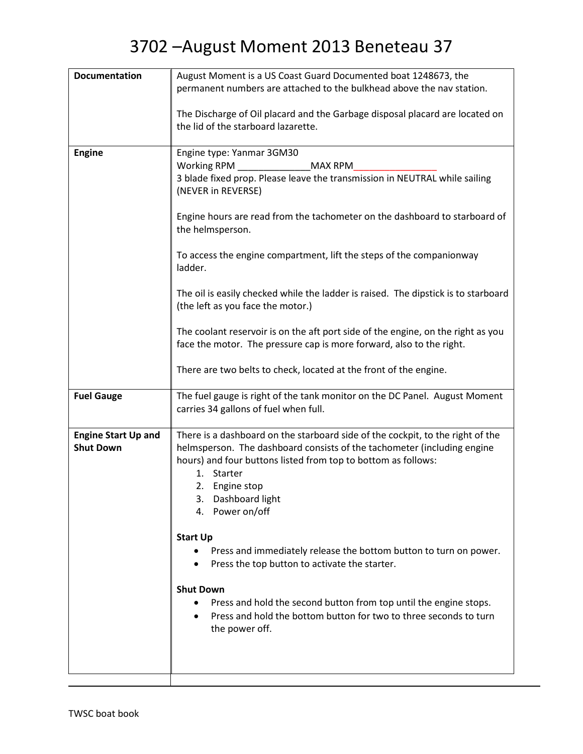| August Moment is a US Coast Guard Documented boat 1248673, the                                                                                           |
|----------------------------------------------------------------------------------------------------------------------------------------------------------|
| permanent numbers are attached to the bulkhead above the nav station.                                                                                    |
| The Discharge of Oil placard and the Garbage disposal placard are located on                                                                             |
| the lid of the starboard lazarette.                                                                                                                      |
| Engine type: Yanmar 3GM30                                                                                                                                |
| MAX RPM                                                                                                                                                  |
| 3 blade fixed prop. Please leave the transmission in NEUTRAL while sailing<br>(NEVER in REVERSE)                                                         |
| Engine hours are read from the tachometer on the dashboard to starboard of<br>the helmsperson.                                                           |
| To access the engine compartment, lift the steps of the companionway<br>ladder.                                                                          |
| The oil is easily checked while the ladder is raised. The dipstick is to starboard<br>(the left as you face the motor.)                                  |
| The coolant reservoir is on the aft port side of the engine, on the right as you<br>face the motor. The pressure cap is more forward, also to the right. |
| There are two belts to check, located at the front of the engine.                                                                                        |
| The fuel gauge is right of the tank monitor on the DC Panel. August Moment<br>carries 34 gallons of fuel when full.                                      |
| There is a dashboard on the starboard side of the cockpit, to the right of the                                                                           |
| helmsperson. The dashboard consists of the tachometer (including engine                                                                                  |
| hours) and four buttons listed from top to bottom as follows:                                                                                            |
| 1. Starter<br>2. Engine stop                                                                                                                             |
| 3.<br>Dashboard light                                                                                                                                    |
| 4. Power on/off                                                                                                                                          |
|                                                                                                                                                          |
| <b>Start Up</b>                                                                                                                                          |
| Press and immediately release the bottom button to turn on power.<br>Press the top button to activate the starter.                                       |
| <b>Shut Down</b>                                                                                                                                         |
| Press and hold the second button from top until the engine stops.                                                                                        |
| Press and hold the bottom button for two to three seconds to turn<br>the power off.                                                                      |
|                                                                                                                                                          |
|                                                                                                                                                          |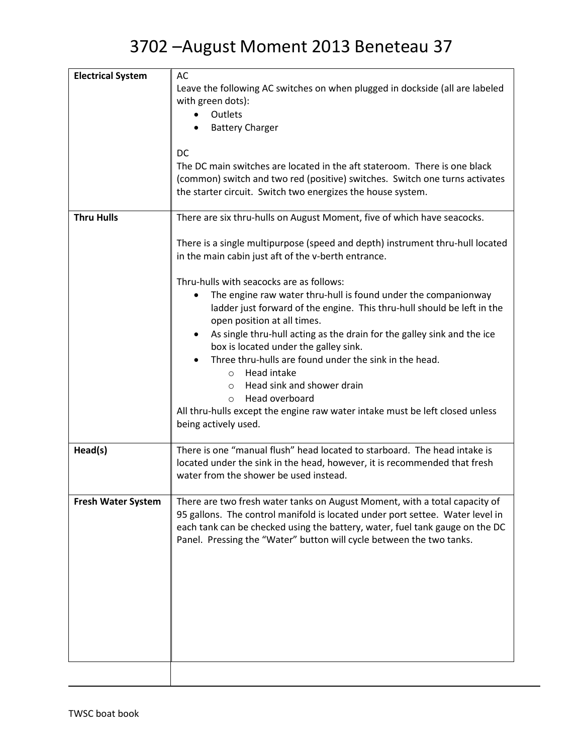| <b>Electrical System</b>  | AC                                                                                   |
|---------------------------|--------------------------------------------------------------------------------------|
|                           | Leave the following AC switches on when plugged in dockside (all are labeled         |
|                           | with green dots):                                                                    |
|                           | Outlets                                                                              |
|                           | <b>Battery Charger</b>                                                               |
|                           |                                                                                      |
|                           | <b>DC</b>                                                                            |
|                           | The DC main switches are located in the aft stateroom. There is one black            |
|                           | (common) switch and two red (positive) switches. Switch one turns activates          |
|                           | the starter circuit. Switch two energizes the house system.                          |
| <b>Thru Hulls</b>         |                                                                                      |
|                           | There are six thru-hulls on August Moment, five of which have seacocks.              |
|                           | There is a single multipurpose (speed and depth) instrument thru-hull located        |
|                           | in the main cabin just aft of the v-berth entrance.                                  |
|                           | Thru-hulls with seacocks are as follows:                                             |
|                           | The engine raw water thru-hull is found under the companionway                       |
|                           | ladder just forward of the engine. This thru-hull should be left in the              |
|                           | open position at all times.                                                          |
|                           | As single thru-hull acting as the drain for the galley sink and the ice<br>$\bullet$ |
|                           | box is located under the galley sink.                                                |
|                           | Three thru-hulls are found under the sink in the head.                               |
|                           | Head intake<br>$\Omega$                                                              |
|                           | Head sink and shower drain<br>$\circ$                                                |
|                           | Head overboard<br>$\circ$                                                            |
|                           | All thru-hulls except the engine raw water intake must be left closed unless         |
|                           | being actively used.                                                                 |
| Head(s)                   | There is one "manual flush" head located to starboard. The head intake is            |
|                           | located under the sink in the head, however, it is recommended that fresh            |
|                           | water from the shower be used instead.                                               |
|                           |                                                                                      |
| <b>Fresh Water System</b> | There are two fresh water tanks on August Moment, with a total capacity of           |
|                           | 95 gallons. The control manifold is located under port settee. Water level in        |
|                           | each tank can be checked using the battery, water, fuel tank gauge on the DC         |
|                           | Panel. Pressing the "Water" button will cycle between the two tanks.                 |
|                           |                                                                                      |
|                           |                                                                                      |
|                           |                                                                                      |
|                           |                                                                                      |
|                           |                                                                                      |
|                           |                                                                                      |
|                           |                                                                                      |
|                           |                                                                                      |
|                           |                                                                                      |